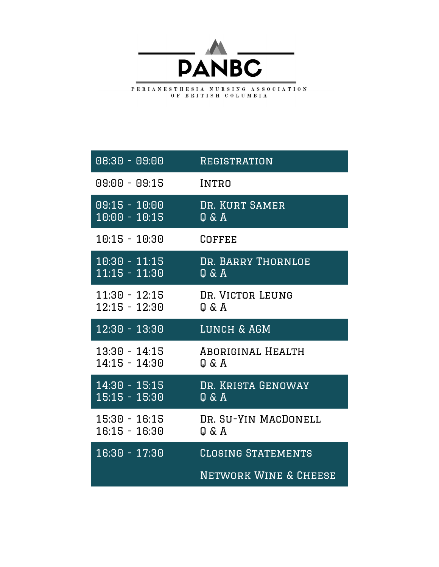

| 08:30 - 09 <u>:00</u> | <b>REGISTRATION</b>                                           |
|-----------------------|---------------------------------------------------------------|
| 09:00 - 09:15         | <b>INTRO</b>                                                  |
| 09:15 - 10:00         | DR. KURT SAMER                                                |
| 10:00 - 10:15         | 0 & A                                                         |
| 10:15 - 10:30         | <b>COFFEE</b>                                                 |
| $10:30 - 11:15$       | DR. BARRY THORNLOE                                            |
| 11:15 - 11:30         | 0 & A                                                         |
| 11:30 - 12:15         | DR. VICTOR LEUNG                                              |
| 12:15 - 12:30         | 0 & A                                                         |
| 12:30 - 13:30         | LUNCH & AGM                                                   |
| 13:30 - 14:15         | ABORIGINAL HEALTH                                             |
| 14:15 - 14:30         | 0 & A                                                         |
| 14:30 - 15:15         | DR. KRISTA GENOWAY                                            |
| $15:15 - 15:30$       | 0 & A                                                         |
| 15:30 - 16:15         | DR. SU-YIN MACDONELL                                          |
| 16:15 - 16:30         | 0 & A                                                         |
| 16:30 - 17:30         | <b>CLOSING STATEMENTS</b><br><b>NETWORK WINE &amp; CHEESE</b> |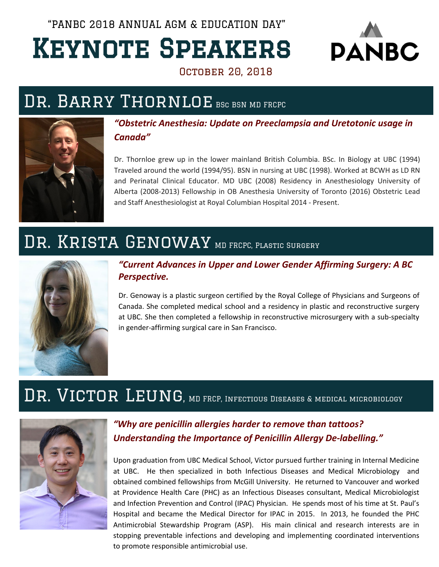"PANBC 2018 ANNUAL AGM & EDUCATION DAY"

# Keynote Speakers



October 20, 2018

## DR. BARRY THORNLOE BSC BSN MD FRCPC



*"Obstetric Anesthesia: Update on Preeclampsia and Uretotonic usage in Canada"*

Dr. Thornloe grew up in the lower mainland British Columbia. BSc. In Biology at UBC (1994) Traveled around the world (1994/95). BSN in nursing at UBC (1998). Worked at BCWH as LD RN and Perinatal Clinical Educator. MD UBC (2008) Residency in Anesthesiology University of Alberta (2008-2013) Fellowship in OB Anesthesia University of Toronto (2016) Obstetric Lead and Staff Anesthesiologist at Royal Columbian Hospital 2014 - Present.

## DR. KRISTA GENOWAY MD FRCPC, PLASTIC SURGERY



### *"Current Advances in Upper and Lower Gender Affirming Surgery: A BC Perspective.*

Dr. Genoway is a plastic surgeon certified by the Royal College of Physicians and Surgeons of Canada. She completed medical school and a residency in plastic and reconstructive surgery at UBC. She then completed a fellowship in reconstructive microsurgery with a sub-specialty in gender-affirming surgical care in San Francisco.

## DR. VICTOR LEUNG, MD FRCP, INFECTIOUS DISEASES & MEDICAL MICROBIOLOGY



### *"Why are penicillin allergies harder to remove than tattoos? Understanding the Importance of Penicillin Allergy De-labelling."*

Upon graduation from UBC Medical School, Victor pursued further training in Internal Medicine at UBC. He then specialized in both Infectious Diseases and Medical Microbiology and obtained combined fellowships from McGill University. He returned to Vancouver and worked at Providence Health Care (PHC) as an Infectious Diseases consultant, Medical Microbiologist and Infection Prevention and Control (IPAC) Physician. He spends most of his time at St. Paul's Hospital and became the Medical Director for IPAC in 2015. In 2013, he founded the PHC Antimicrobial Stewardship Program (ASP). His main clinical and research interests are in stopping preventable infections and developing and implementing coordinated interventions to promote responsible antimicrobial use.